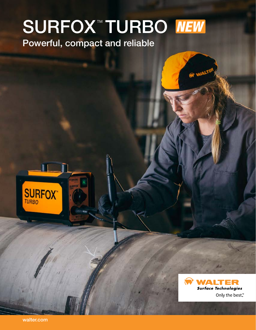## $\mathcal{L}$ SURFOX™ TURBO

Powerful, compact and reliable





walter.com